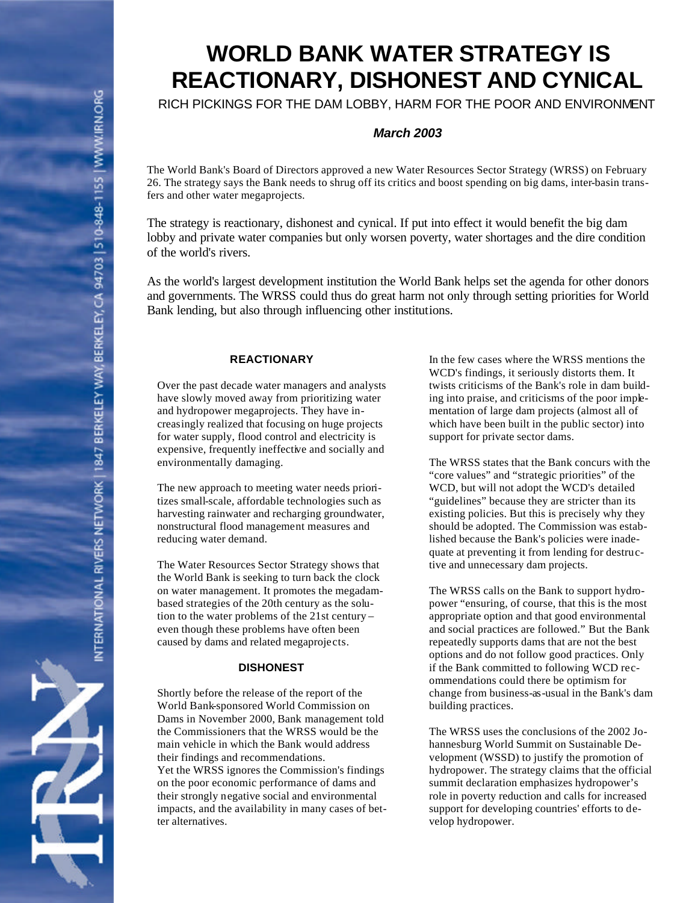# **WORLD BANK WATER STRATEGY IS REACTIONARY, DISHONEST AND CYNICAL**

RICH PICKINGS FOR THE DAM LOBBY, HARM FOR THE POOR AND ENVIRONMENT

# *March 2003*

The World Bank's Board of Directors approved a new Water Resources Sector Strategy (WRSS) on February 26. The strategy says the Bank needs to shrug off its critics and boost spending on big dams, inter-basin transfers and other water megaprojects.

The strategy is reactionary, dishonest and cynical. If put into effect it would benefit the big dam lobby and private water companies but only worsen poverty, water shortages and the dire condition of the world's rivers.

As the world's largest development institution the World Bank helps set the agenda for other donors and governments. The WRSS could thus do great harm not only through setting priorities for World Bank lending, but also through influencing other institutions.

## **REACTIONARY**

Over the past decade water managers and analysts have slowly moved away from prioritizing water and hydropower megaprojects. They have increasingly realized that focusing on huge projects for water supply, flood control and electricity is expensive, frequently ineffective and socially and environmentally damaging.

The new approach to meeting water needs prioritizes small-scale, affordable technologies such as harvesting rainwater and recharging groundwater, nonstructural flood management measures and reducing water demand.

The Water Resources Sector Strategy shows that the World Bank is seeking to turn back the clock on water management. It promotes the megadambased strategies of the 20th century as the solution to the water problems of the 21st century – even though these problems have often been caused by dams and related megaprojects.

## **DISHONEST**

Shortly before the release of the report of the World Bank-sponsored World Commission on Dams in November 2000, Bank management told the Commissioners that the WRSS would be the main vehicle in which the Bank would address their findings and recommendations. Yet the WRSS ignores the Commission's findings on the poor economic performance of dams and their strongly negative social and environmental impacts, and the availability in many cases of better alternatives.

In the few cases where the WRSS mentions the WCD's findings, it seriously distorts them. It twists criticisms of the Bank's role in dam building into praise, and criticisms of the poor implementation of large dam projects (almost all of which have been built in the public sector) into support for private sector dams.

The WRSS states that the Bank concurs with the "core values" and "strategic priorities" of the WCD, but will not adopt the WCD's detailed "guidelines" because they are stricter than its existing policies. But this is precisely why they should be adopted. The Commission was established because the Bank's policies were inadequate at preventing it from lending for destructive and unnecessary dam projects.

The WRSS calls on the Bank to support hydropower "ensuring, of course, that this is the most appropriate option and that good environmental and social practices are followed." But the Bank repeatedly supports dams that are not the best options and do not follow good practices. Only if the Bank committed to following WCD recommendations could there be optimism for change from business-as-usual in the Bank's dam building practices.

The WRSS uses the conclusions of the 2002 Johannesburg World Summit on Sustainable Development (WSSD) to justify the promotion of hydropower. The strategy claims that the official summit declaration emphasizes hydropower's role in poverty reduction and calls for increased support for developing countries' efforts to develop hydropower.